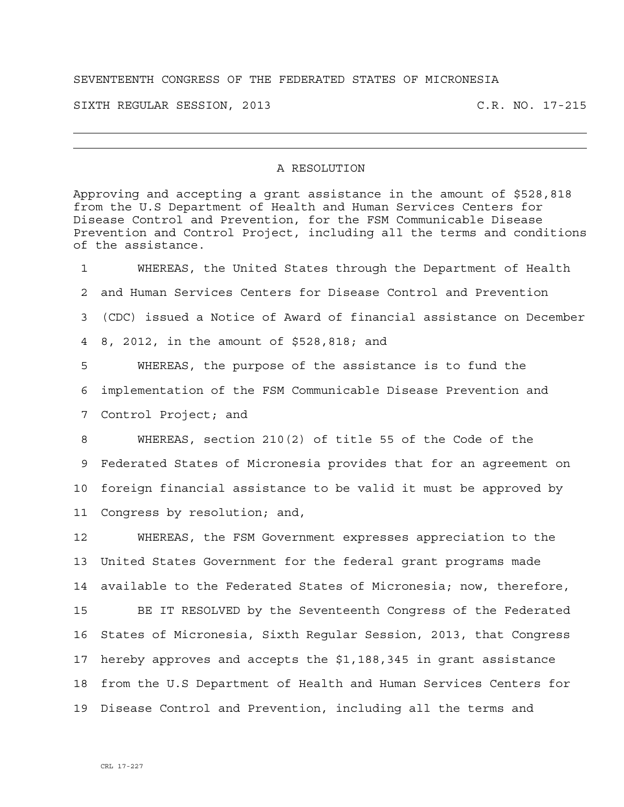## SEVENTEENTH CONGRESS OF THE FEDERATED STATES OF MICRONESIA

SIXTH REGULAR SESSION, 2013 C.R. NO. 17-215

## A RESOLUTION

Approving and accepting a grant assistance in the amount of \$528,818 from the U.S Department of Health and Human Services Centers for Disease Control and Prevention, for the FSM Communicable Disease Prevention and Control Project, including all the terms and conditions of the assistance.

1 WHEREAS, the United States through the Department of Health 2 and Human Services Centers for Disease Control and Prevention 3 (CDC) issued a Notice of Award of financial assistance on December 4 8, 2012, in the amount of \$528,818; and 5 WHEREAS, the purpose of the assistance is to fund the 6 implementation of the FSM Communicable Disease Prevention and 7 Control Project; and 8 WHEREAS, section 210(2) of title 55 of the Code of the 9 Federated States of Micronesia provides that for an agreement on 10 foreign financial assistance to be valid it must be approved by 11 Congress by resolution; and,

12 WHEREAS, the FSM Government expresses appreciation to the 13 United States Government for the federal grant programs made 14 available to the Federated States of Micronesia; now, therefore,

15 BE IT RESOLVED by the Seventeenth Congress of the Federated 16 States of Micronesia, Sixth Regular Session, 2013, that Congress 17 hereby approves and accepts the \$1,188,345 in grant assistance 18 from the U.S Department of Health and Human Services Centers for 19 Disease Control and Prevention, including all the terms and